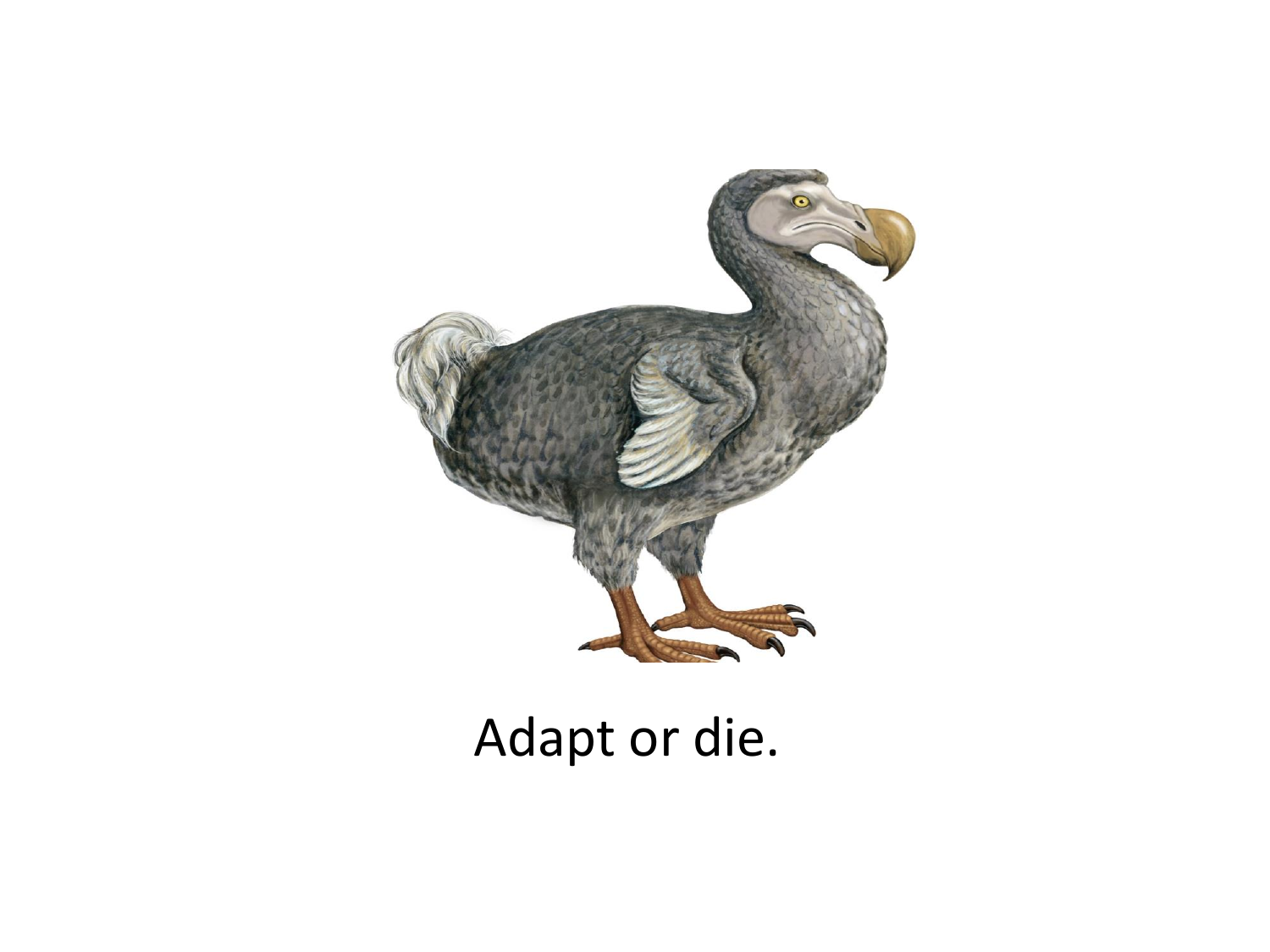

## Adapt or die.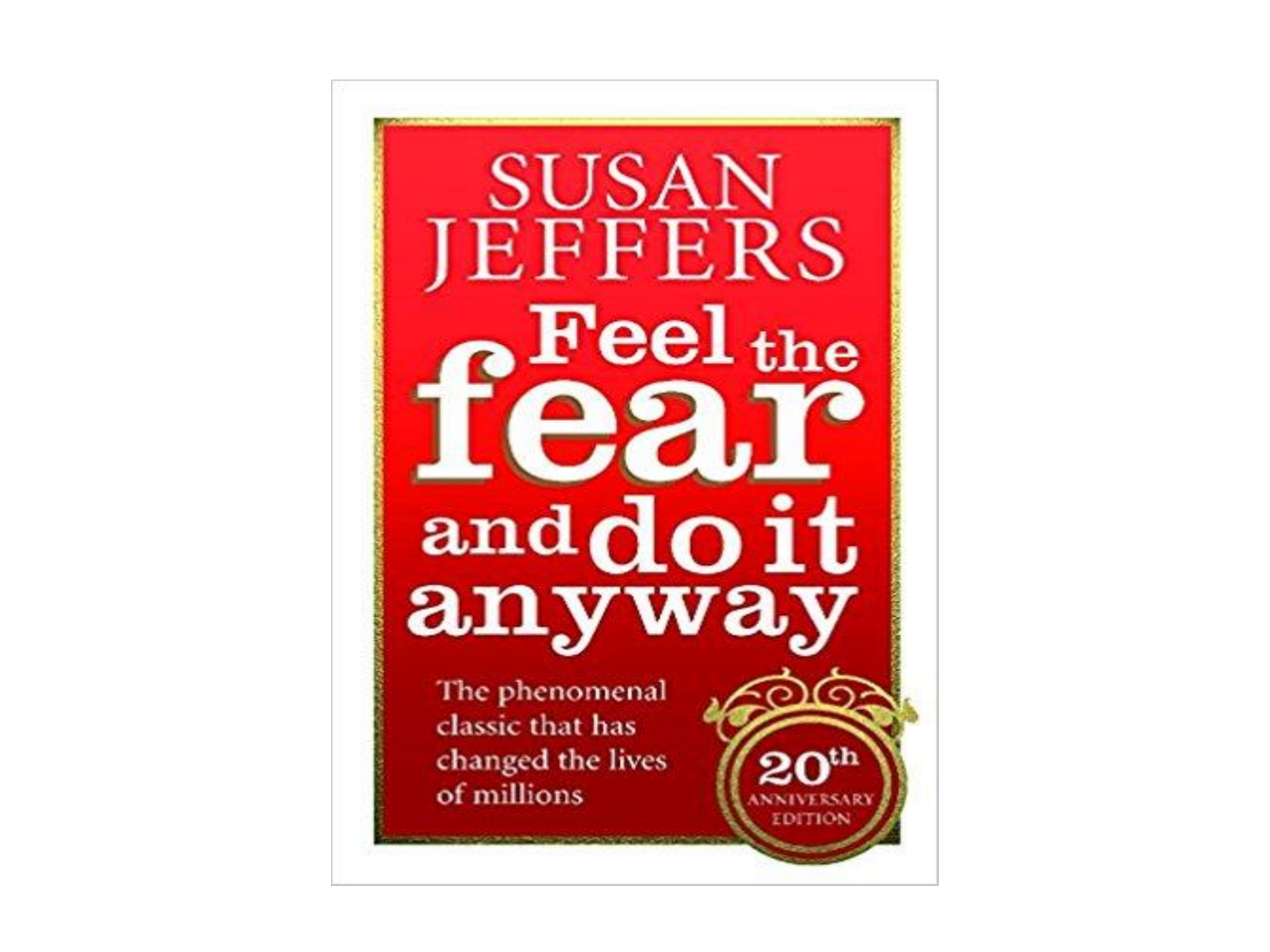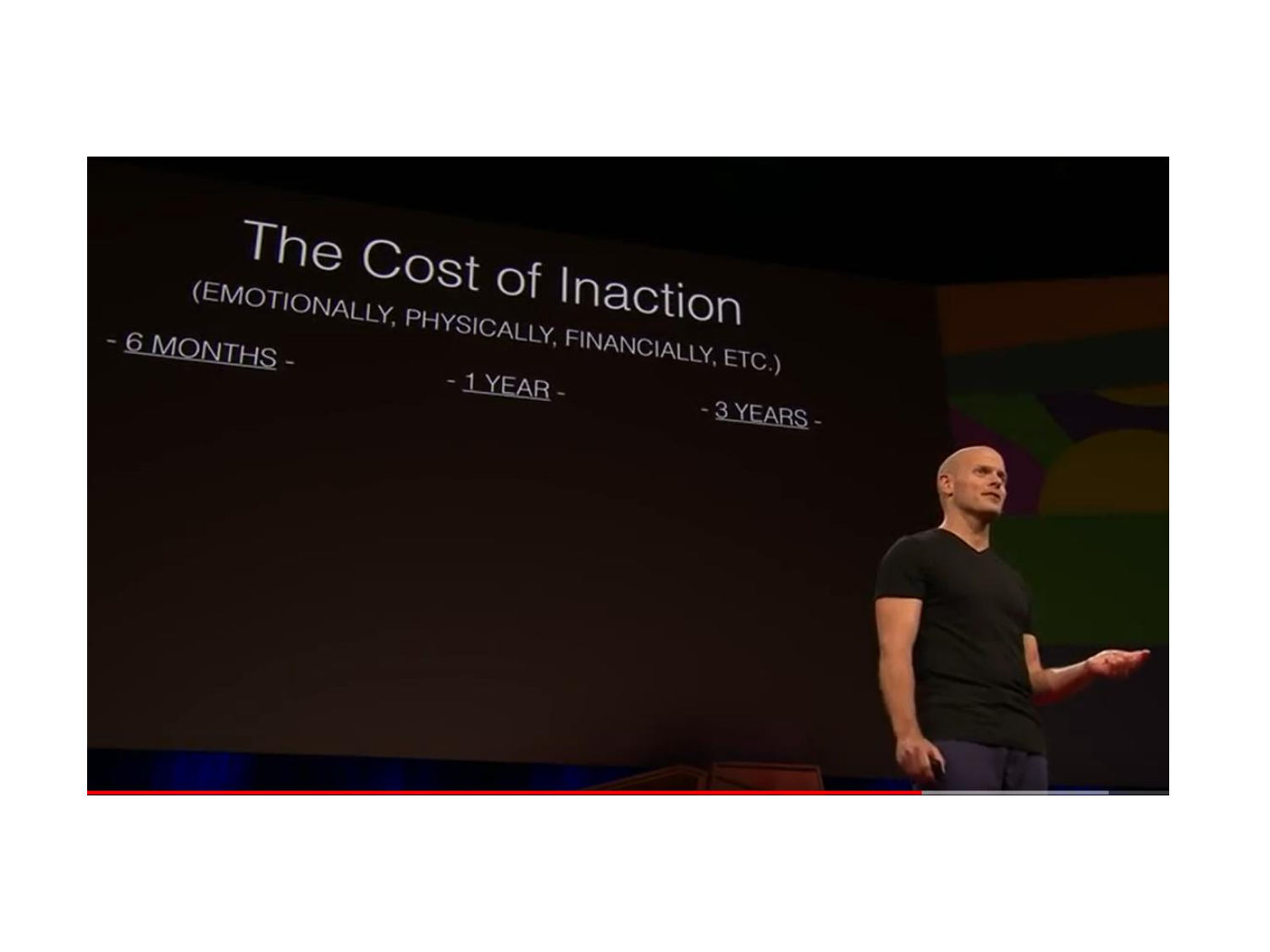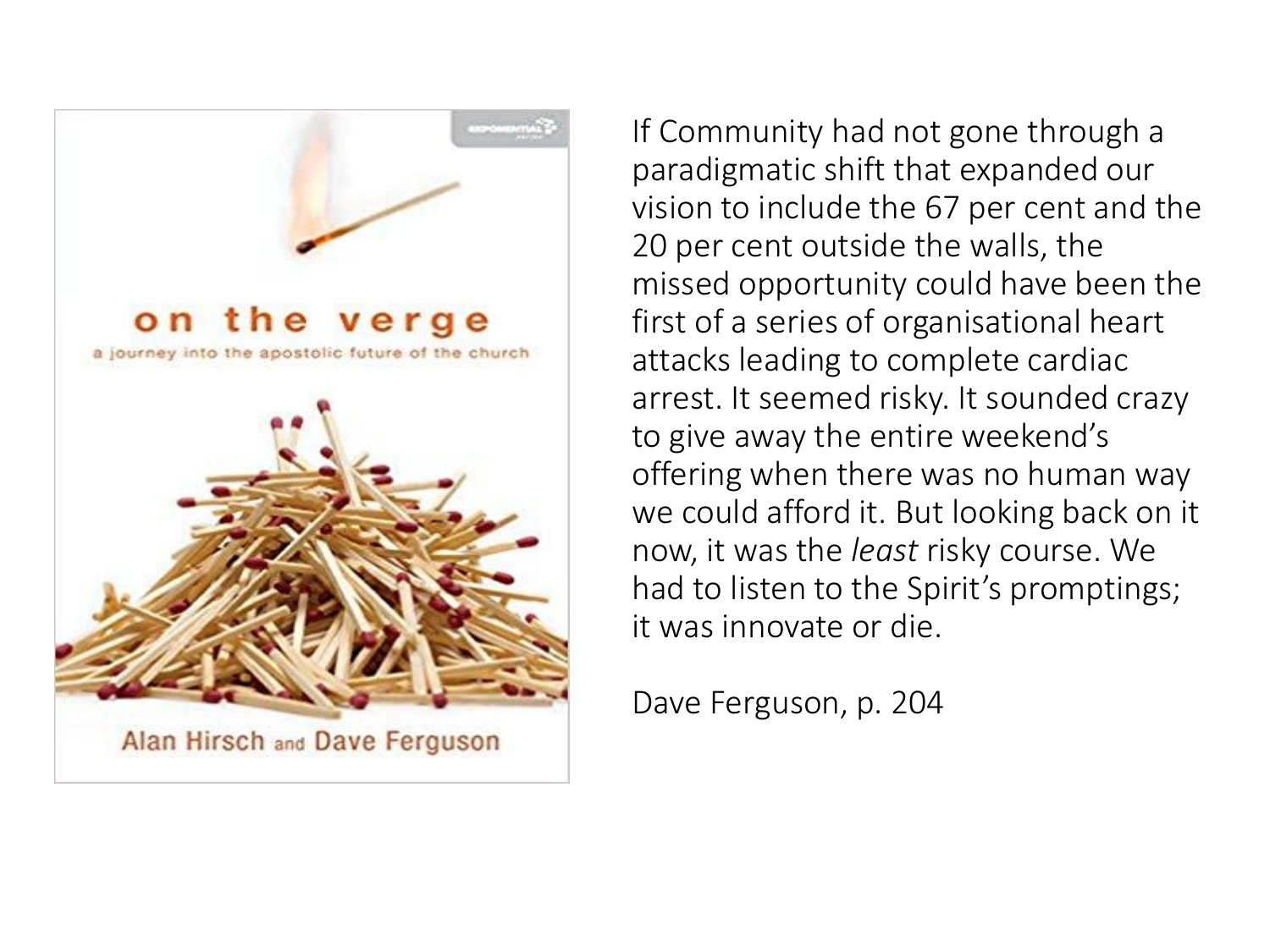

If Community had not gone through a paradigmatic shift that expanded our vision to include the 67 per cent and the 20 per cent outside the walls, the missed opportunity could have been the first of a series of organisational heart attacks leading to complete cardiac arrest. It seemed risky. It sounded crazy to give away the entire weekend's offering when there was no human way we could afford it. But looking back on it now, it was the *least* risky course. We had to listen to the Spirit's promptings; it was innovate or die.

Dave Ferguson, p. 204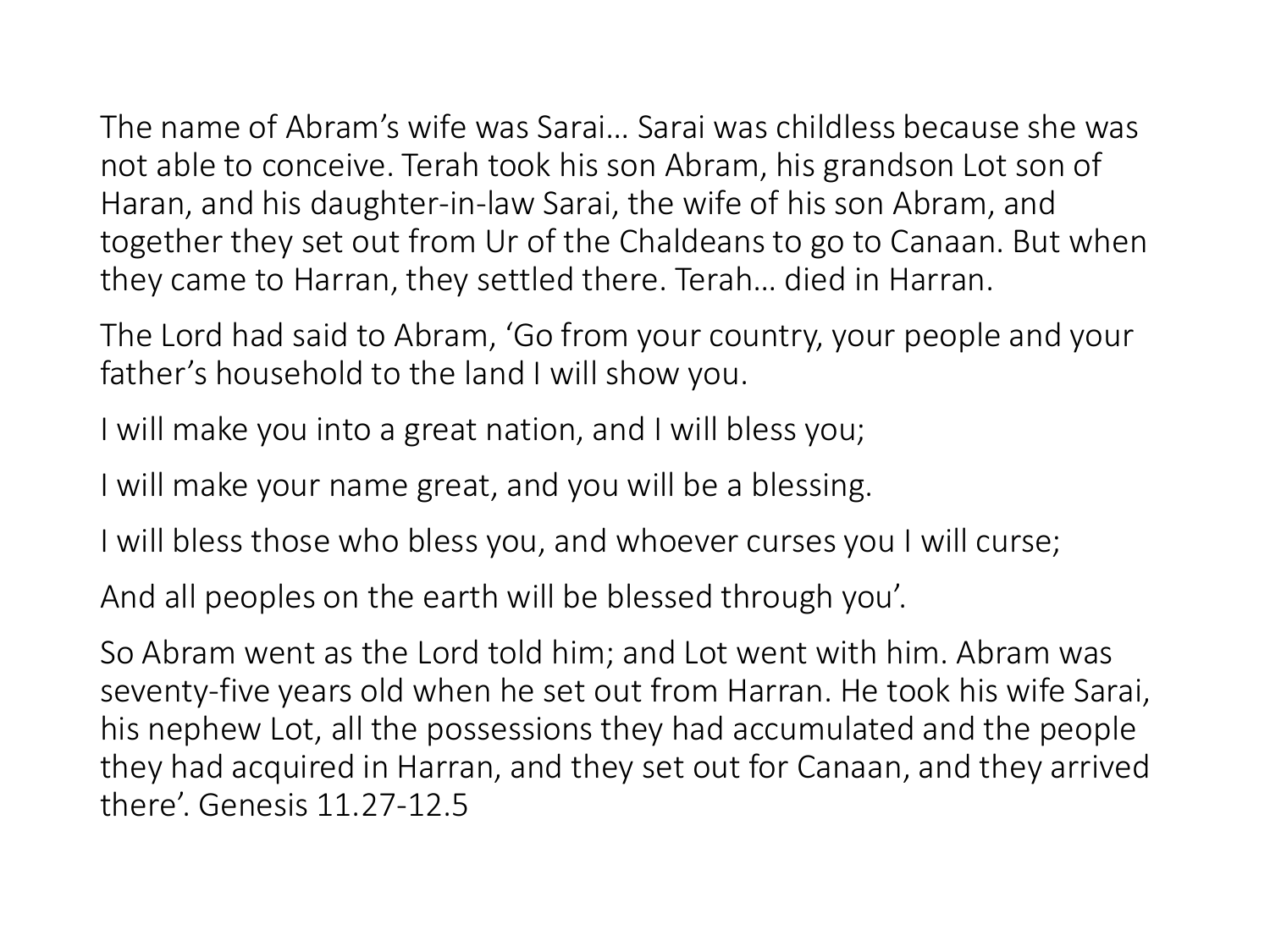The name of Abram's wife was Sarai… Sarai was childless because she was not able to conceive. Terah took his son Abram, his grandson Lot son of Haran, and his daughter-in-law Sarai, the wife of his son Abram, and together they set out from Ur of the Chaldeans to go to Canaan. But when they came to Harran, they settled there. Terah… died in Harran.

The Lord had said to Abram, 'Go from your country, your people and your father's household to the land I will show you.

I will make you into a great nation, and I will bless you;

I will make your name great, and you will be a blessing.

I will bless those who bless you, and whoever curses you I will curse;

And all peoples on the earth will be blessed through you'.

So Abram went as the Lord told him; and Lot went with him. Abram was seventy-five years old when he set out from Harran. He took his wife Sarai, his nephew Lot, all the possessions they had accumulated and the people they had acquired in Harran, and they set out for Canaan, and they arrived there'. Genesis 11.27-12.5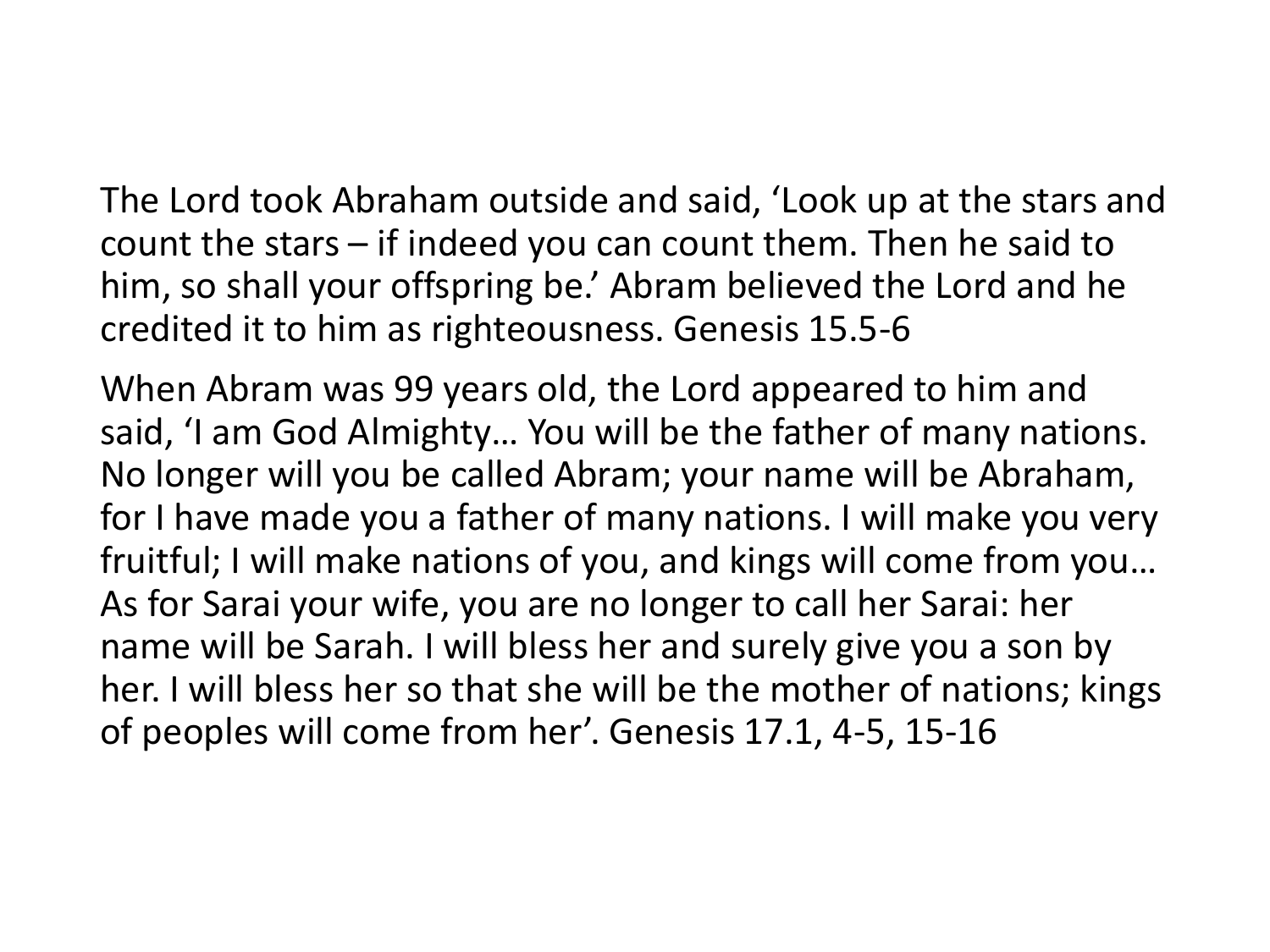The Lord took Abraham outside and said, 'Look up at the stars and count the stars – if indeed you can count them. Then he said to him, so shall your offspring be.' Abram believed the Lord and he credited it to him as righteousness. Genesis 15.5-6

When Abram was 99 years old, the Lord appeared to him and said, 'I am God Almighty… You will be the father of many nations. No longer will you be called Abram; your name will be Abraham, for I have made you a father of many nations. I will make you very fruitful; I will make nations of you, and kings will come from you… As for Sarai your wife, you are no longer to call her Sarai: her name will be Sarah. I will bless her and surely give you a son by her. I will bless her so that she will be the mother of nations; kings of peoples will come from her'. Genesis 17.1, 4-5, 15-16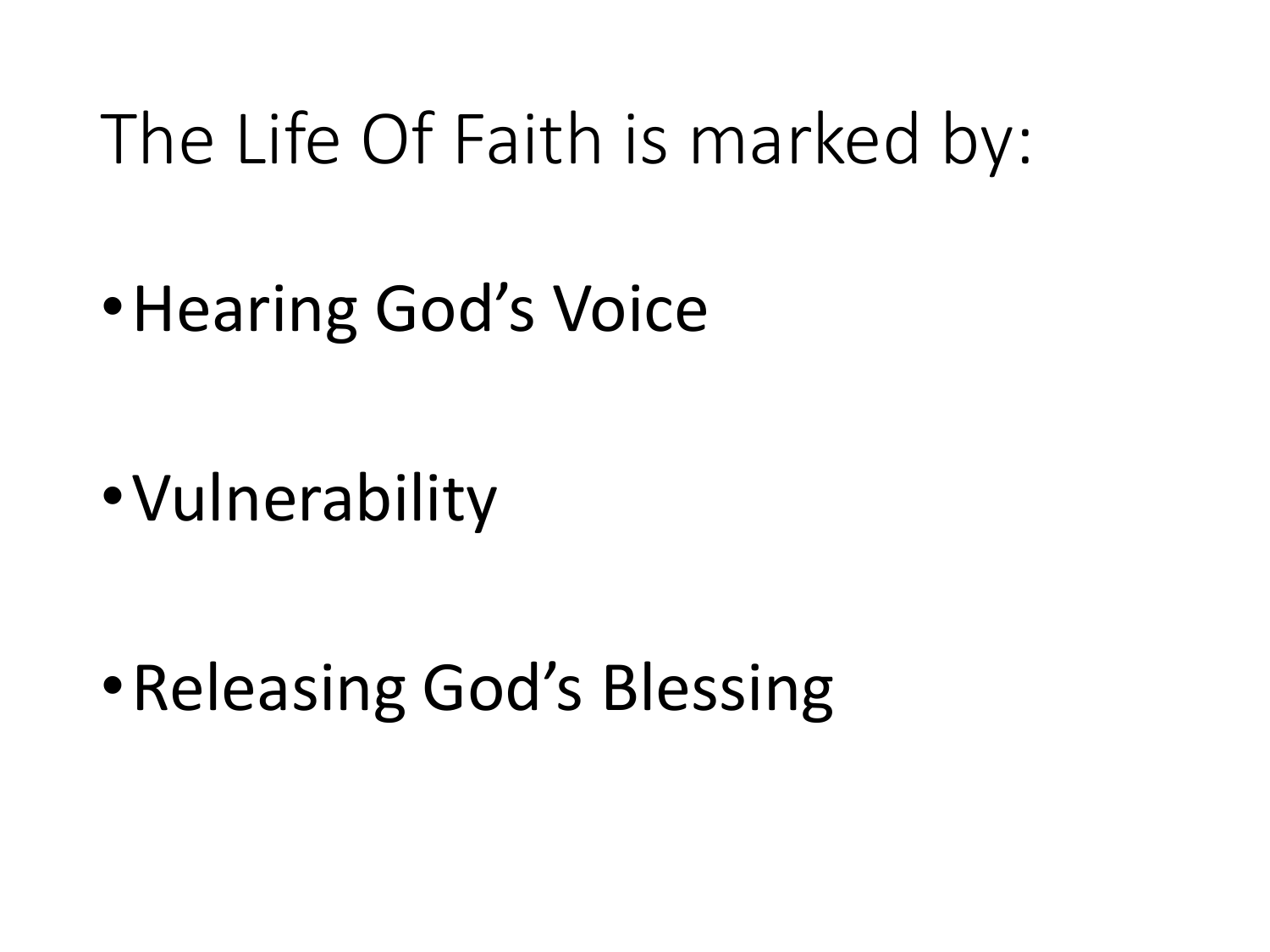## The Life Of Faith is marked by:

•Hearing God's Voice

•Vulnerability

• Releasing God's Blessing